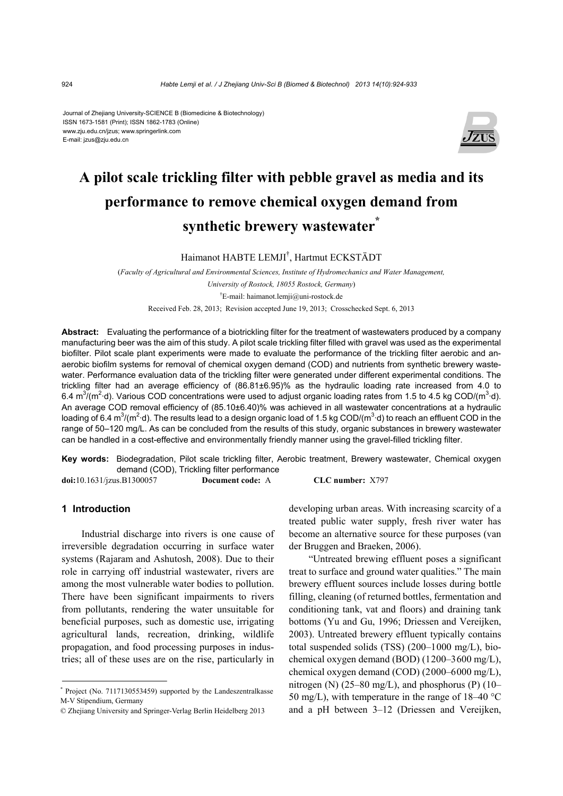#### Journal of Zhejiang University-SCIENCE B (Biomedicine & Biotechnology) ISSN 1673-1581 (Print); ISSN 1862-1783 (Online) www.zju.edu.cn/jzus; www.springerlink.com E-mail: jzus@zju.edu.cn



# **A pilot scale trickling filter with pebble gravel as media and its performance to remove chemical oxygen demand from synthetic brewery wastewater\***

Haimanot HABTE LEMJI† , Hartmut ECKSTÄDT

(*Faculty of Agricultural and Environmental Sciences, Institute of Hydromechanics and Water Management, University of Rostock, 18055 Rostock, Germany*) † E-mail: haimanot.lemji@uni-rostock.de Received Feb. 28, 2013; Revision accepted June 19, 2013; Crosschecked Sept. 6, 2013

**Abstract:** Evaluating the performance of a biotrickling filter for the treatment of wastewaters produced by a company manufacturing beer was the aim of this study. A pilot scale trickling filter filled with gravel was used as the experimental biofilter. Pilot scale plant experiments were made to evaluate the performance of the trickling filter aerobic and anaerobic biofilm systems for removal of chemical oxygen demand (COD) and nutrients from synthetic brewery wastewater. Performance evaluation data of the trickling filter were generated under different experimental conditions. The trickling filter had an average efficiency of (86.81±6.95)% as the hydraulic loading rate increased from 4.0 to 6.4 m<sup>3</sup>/(m<sup>2</sup>·d). Various COD concentrations were used to adjust organic loading rates from 1.5 to 4.5 kg COD/(m<sup>3</sup>·d). An average COD removal efficiency of (85.10±6.40)% was achieved in all wastewater concentrations at a hydraulic loading of 6.4 m<sup>3</sup>/(m<sup>2</sup>·d). The results lead to a design organic load of 1.5 kg COD/(m<sup>3</sup>·d) to reach an effluent COD in the range of 50–120 mg/L. As can be concluded from the results of this study, organic substances in brewery wastewater can be handled in a cost-effective and environmentally friendly manner using the gravel-filled trickling filter.

**Key words:** Biodegradation, Pilot scale trickling filter, Aerobic treatment, Brewery wastewater, Chemical oxygen demand (COD), Trickling filter performance

**doi:**10.1631/jzus.B1300057 **Document code:** A **CLC number:** X797

# **1 Introduction**

Industrial discharge into rivers is one cause of irreversible degradation occurring in surface water systems (Rajaram and Ashutosh, 2008). Due to their role in carrying off industrial wastewater, rivers are among the most vulnerable water bodies to pollution. There have been significant impairments to rivers from pollutants, rendering the water unsuitable for beneficial purposes, such as domestic use, irrigating agricultural lands, recreation, drinking, wildlife propagation, and food processing purposes in industries; all of these uses are on the rise, particularly in

\* Project (No. 7117130553459) supported by the Landeszentralkasse M-V Stipendium, Germany

developing urban areas. With increasing scarcity of a treated public water supply, fresh river water has become an alternative source for these purposes (van der Bruggen and Braeken, 2006).

"Untreated brewing effluent poses a significant treat to surface and ground water qualities." The main brewery effluent sources include losses during bottle filling, cleaning (of returned bottles, fermentation and conditioning tank, vat and floors) and draining tank bottoms (Yu and Gu, 1996; Driessen and Vereijken, 2003). Untreated brewery effluent typically contains total suspended solids (TSS) (200–1000 mg/L), biochemical oxygen demand (BOD) (1200–3600 mg/L), chemical oxygen demand (COD) (2000–6000 mg/L), nitrogen (N)  $(25-80 \text{ mg/L})$ , and phosphorus (P)  $(10-$ 50 mg/L), with temperature in the range of  $18-40$  °C and a pH between 3–12 (Driessen and Vereijken,

<sup>©</sup> Zhejiang University and Springer-Verlag Berlin Heidelberg 2013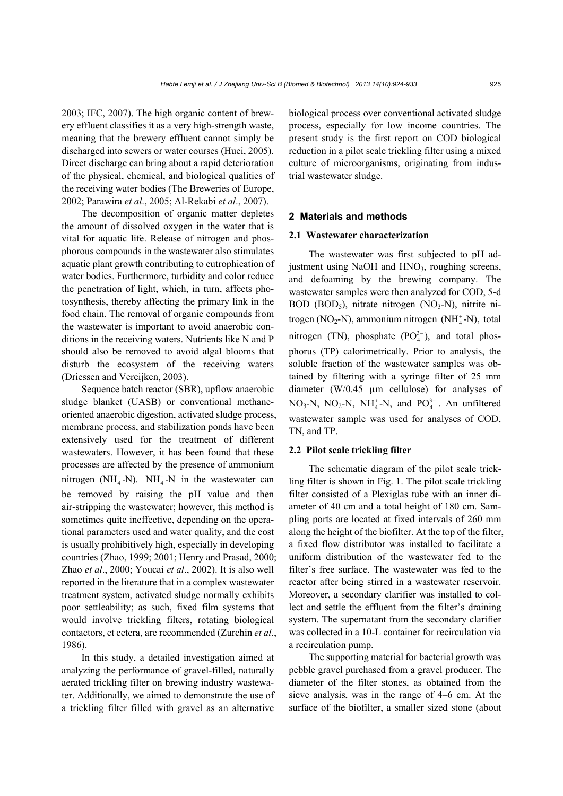2003; IFC, 2007). The high organic content of brewery effluent classifies it as a very high-strength waste, meaning that the brewery effluent cannot simply be discharged into sewers or water courses (Huei, 2005). Direct discharge can bring about a rapid deterioration of the physical, chemical, and biological qualities of

2002; Parawira *et al*., 2005; Al-Rekabi *et al*., 2007). The decomposition of organic matter depletes the amount of dissolved oxygen in the water that is vital for aquatic life. Release of nitrogen and phosphorous compounds in the wastewater also stimulates aquatic plant growth contributing to eutrophication of water bodies. Furthermore, turbidity and color reduce the penetration of light, which, in turn, affects photosynthesis, thereby affecting the primary link in the food chain. The removal of organic compounds from the wastewater is important to avoid anaerobic conditions in the receiving waters. Nutrients like N and P should also be removed to avoid algal blooms that disturb the ecosystem of the receiving waters (Driessen and Vereijken, 2003).

the receiving water bodies (The Breweries of Europe,

Sequence batch reactor (SBR), upflow anaerobic sludge blanket (UASB) or conventional methaneoriented anaerobic digestion, activated sludge process, membrane process, and stabilization ponds have been extensively used for the treatment of different wastewaters. However, it has been found that these processes are affected by the presence of ammonium nitrogen (NH $_4^+$ -N). NH $_4^+$ -N in the wastewater can be removed by raising the pH value and then air-stripping the wastewater; however, this method is sometimes quite ineffective, depending on the operational parameters used and water quality, and the cost is usually prohibitively high, especially in developing countries (Zhao, 1999; 2001; Henry and Prasad, 2000; Zhao *et al*., 2000; Youcai *et al*., 2002). It is also well reported in the literature that in a complex wastewater treatment system, activated sludge normally exhibits poor settleability; as such, fixed film systems that would involve trickling filters, rotating biological contactors, et cetera, are recommended (Zurchin *et al*., 1986).

In this study, a detailed investigation aimed at analyzing the performance of gravel-filled, naturally aerated trickling filter on brewing industry wastewater. Additionally, we aimed to demonstrate the use of a trickling filter filled with gravel as an alternative

biological process over conventional activated sludge process, especially for low income countries. The present study is the first report on COD biological reduction in a pilot scale trickling filter using a mixed culture of microorganisms, originating from industrial wastewater sludge.

# **2 Materials and methods**

#### **2.1 Wastewater characterization**

The wastewater was first subjected to pH adjustment using NaOH and  $HNO<sub>3</sub>$ , roughing screens, and defoaming by the brewing company. The wastewater samples were then analyzed for COD, 5-d BOD (BOD<sub>5</sub>), nitrate nitrogen (NO<sub>3</sub>-N), nitrite nitrogen (NO<sub>2</sub>-N), ammonium nitrogen (NH $_4^+$ -N), total nitrogen (TN), phosphate  $(PO_4^{3-})$ , and total phosphorus (TP) calorimetrically. Prior to analysis, the soluble fraction of the wastewater samples was obtained by filtering with a syringe filter of 25 mm diameter (W/0.45 µm cellulose) for analyses of  $NO<sub>3</sub>-N$ ,  $NO<sub>2</sub>-N$ ,  $NH<sub>4</sub><sup>+</sup>-N$ , and  $PO<sub>4</sub><sup>3-</sup>$ . An unfiltered wastewater sample was used for analyses of COD, TN, and TP.

#### **2.2 Pilot scale trickling filter**

The schematic diagram of the pilot scale trickling filter is shown in Fig. 1. The pilot scale trickling filter consisted of a Plexiglas tube with an inner diameter of 40 cm and a total height of 180 cm. Sampling ports are located at fixed intervals of 260 mm along the height of the biofilter. At the top of the filter, a fixed flow distributor was installed to facilitate a uniform distribution of the wastewater fed to the filter's free surface. The wastewater was fed to the reactor after being stirred in a wastewater reservoir. Moreover, a secondary clarifier was installed to collect and settle the effluent from the filter's draining system. The supernatant from the secondary clarifier was collected in a 10-L container for recirculation via a recirculation pump.

The supporting material for bacterial growth was pebble gravel purchased from a gravel producer. The diameter of the filter stones, as obtained from the sieve analysis, was in the range of 4–6 cm. At the surface of the biofilter, a smaller sized stone (about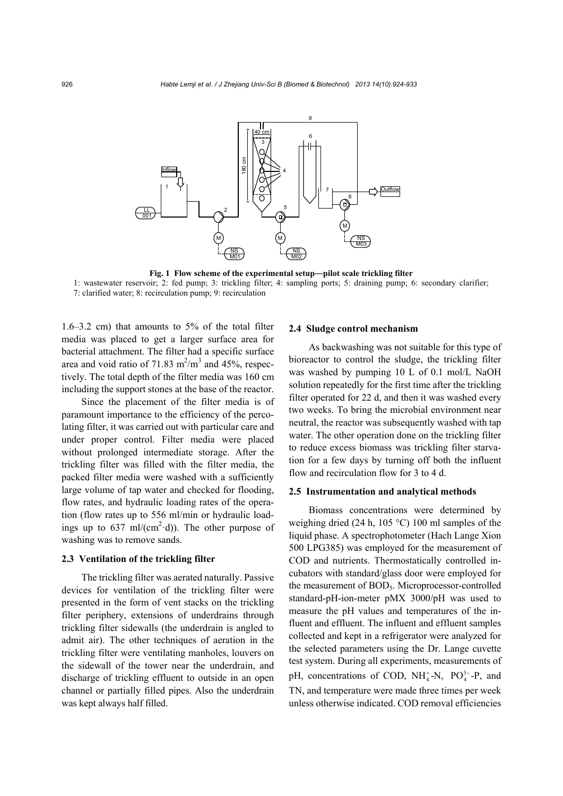

**Fig. 1 Flow scheme of the experimental setup―pilot scale trickling filter**  1: wastewater reservoir; 2: fed pump; 3: trickling filter; 4: sampling ports; 5: draining pump; 6: secondary clarifier; 7: clarified water; 8: recirculation pump; 9: recirculation

1.6–3.2 cm) that amounts to 5% of the total filter media was placed to get a larger surface area for bacterial attachment. The filter had a specific surface area and void ratio of 71.83  $m^2/m^3$  and 45%, respectively. The total depth of the filter media was 160 cm including the support stones at the base of the reactor.

Since the placement of the filter media is of paramount importance to the efficiency of the percolating filter, it was carried out with particular care and under proper control. Filter media were placed without prolonged intermediate storage. After the trickling filter was filled with the filter media, the packed filter media were washed with a sufficiently large volume of tap water and checked for flooding, flow rates, and hydraulic loading rates of the operation (flow rates up to 556 ml/min or hydraulic loadings up to  $637 \text{ ml/(cm}^2 \cdot d)$ ). The other purpose of washing was to remove sands.

#### **2.3 Ventilation of the trickling filter**

The trickling filter was aerated naturally. Passive devices for ventilation of the trickling filter were presented in the form of vent stacks on the trickling filter periphery, extensions of underdrains through trickling filter sidewalls (the underdrain is angled to admit air). The other techniques of aeration in the trickling filter were ventilating manholes, louvers on the sidewall of the tower near the underdrain, and discharge of trickling effluent to outside in an open channel or partially filled pipes. Also the underdrain was kept always half filled.

#### **2.4 Sludge control mechanism**

As backwashing was not suitable for this type of bioreactor to control the sludge, the trickling filter was washed by pumping 10 L of 0.1 mol/L NaOH solution repeatedly for the first time after the trickling filter operated for 22 d, and then it was washed every two weeks. To bring the microbial environment near neutral, the reactor was subsequently washed with tap water. The other operation done on the trickling filter to reduce excess biomass was trickling filter starvation for a few days by turning off both the influent flow and recirculation flow for 3 to 4 d.

#### **2.5 Instrumentation and analytical methods**

Biomass concentrations were determined by weighing dried (24 h, 105 °C) 100 ml samples of the liquid phase. A spectrophotometer (Hach Lange Xion 500 LPG385) was employed for the measurement of COD and nutrients. Thermostatically controlled incubators with standard/glass door were employed for the measurement of BOD<sub>5</sub>. Microprocessor-controlled standard-pH-ion-meter pMX 3000/pH was used to measure the pH values and temperatures of the influent and effluent. The influent and effluent samples collected and kept in a refrigerator were analyzed for the selected parameters using the Dr. Lange cuvette test system. During all experiments, measurements of pH, concentrations of COD,  $NH_4^+$ -N,  $PO_4^{3-}$ -P, and TN, and temperature were made three times per week unless otherwise indicated. COD removal efficiencies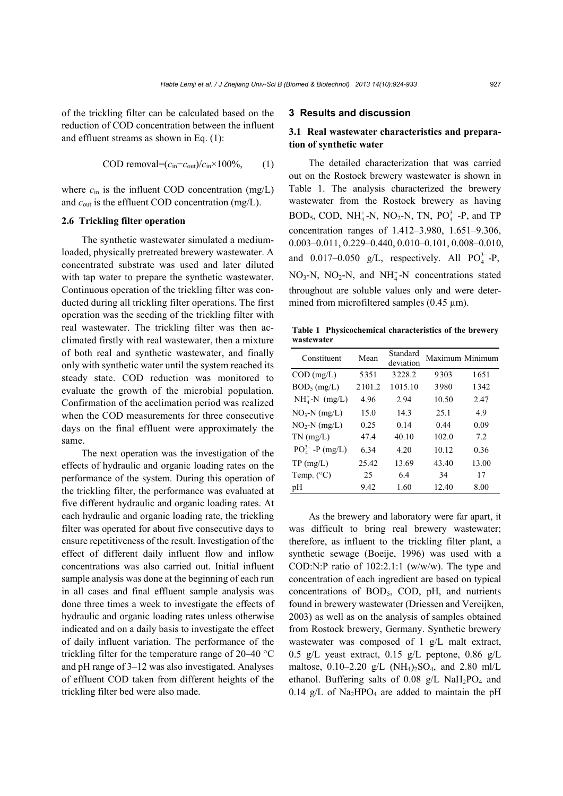of the trickling filter can be calculated based on the reduction of COD concentration between the influent and effluent streams as shown in Eq. (1):

$$
COD removal = (cin - cout)/cin \times 100\%, (1)
$$

where  $c_{\text{in}}$  is the influent COD concentration (mg/L) and  $c_{\text{out}}$  is the effluent COD concentration (mg/L).

## **2.6 Trickling filter operation**

The synthetic wastewater simulated a mediumloaded, physically pretreated brewery wastewater. A concentrated substrate was used and later diluted with tap water to prepare the synthetic wastewater. Continuous operation of the trickling filter was conducted during all trickling filter operations. The first operation was the seeding of the trickling filter with real wastewater. The trickling filter was then acclimated firstly with real wastewater, then a mixture of both real and synthetic wastewater, and finally only with synthetic water until the system reached its steady state. COD reduction was monitored to evaluate the growth of the microbial population. Confirmation of the acclimation period was realized when the COD measurements for three consecutive days on the final effluent were approximately the same.

The next operation was the investigation of the effects of hydraulic and organic loading rates on the performance of the system. During this operation of the trickling filter, the performance was evaluated at five different hydraulic and organic loading rates. At each hydraulic and organic loading rate, the trickling filter was operated for about five consecutive days to ensure repetitiveness of the result. Investigation of the effect of different daily influent flow and inflow concentrations was also carried out. Initial influent sample analysis was done at the beginning of each run in all cases and final effluent sample analysis was done three times a week to investigate the effects of hydraulic and organic loading rates unless otherwise indicated and on a daily basis to investigate the effect of daily influent variation. The performance of the trickling filter for the temperature range of 20–40 °C and pH range of 3–12 was also investigated. Analyses of effluent COD taken from different heights of the trickling filter bed were also made.

# **3 Results and discussion**

# **3.1 Real wastewater characteristics and preparation of synthetic water**

The detailed characterization that was carried out on the Rostock brewery wastewater is shown in Table 1. The analysis characterized the brewery wastewater from the Rostock brewery as having  $BOD_5$ , COD, NH<sup>+</sup><sub>4</sub>-N, NO<sub>2</sub>-N, TN, PO<sup>3–</sup><sub>4</sub>-P, and TP concentration ranges of 1.412–3.980, 1.651–9.306, 0.003–0.011, 0.229–0.440, 0.010–0.101, 0.008–0.010, and 0.017–0.050 g/L, respectively. All  $PO_4^{3-}$ -P,  $NO<sub>3</sub>-N$ ,  $NO<sub>2</sub>-N$ , and  $NH<sub>4</sub><sup>+</sup>-N$  concentrations stated throughout are soluble values only and were determined from microfiltered samples (0.45  $\mu$ m).

**Table 1 Physicochemical characteristics of the brewery wastewater**

| Constituent           | Mean   | Standard<br>deviation | Maximum Minimum |       |
|-----------------------|--------|-----------------------|-----------------|-------|
| $COD$ (mg/L)          | 5351   | 3228.2                | 9303            | 1651  |
| $BOD_5$ (mg/L)        | 2101.2 | 1015.10               | 3980            | 1342  |
| $NH4+-N$ (mg/L)       | 4.96   | 2.94                  | 10.50           | 2.47  |
| $NO3-N$ (mg/L)        | 15.0   | 14.3                  | 25.1            | 49    |
| $NO2-N$ (mg/L)        | 0.25   | 0.14                  | 0.44            | 0.09  |
| $TN$ (mg/L)           | 47.4   | 40.10                 | 102.0           | 7.2   |
| $PO_4^{3-}$ -P (mg/L) | 6.34   | 4.20                  | 10.12           | 0.36  |
| TP(mg/L)              | 25.42  | 13.69                 | 43.40           | 13.00 |
| Temp. $(^{\circ}C)$   | 25     | 6.4                   | 34              | 17    |
| pH                    | 9.42   | 1.60                  | 12.40           | 8.00  |

As the brewery and laboratory were far apart, it was difficult to bring real brewery wastewater; therefore, as influent to the trickling filter plant, a synthetic sewage (Boeije, 1996) was used with a COD:N:P ratio of 102:2.1:1 (w/w/w). The type and concentration of each ingredient are based on typical concentrations of BOD5, COD, pH, and nutrients found in brewery wastewater (Driessen and Vereijken, 2003) as well as on the analysis of samples obtained from Rostock brewery, Germany. Synthetic brewery wastewater was composed of 1 g/L malt extract, 0.5 g/L yeast extract, 0.15 g/L peptone, 0.86 g/L maltose,  $0.10-2.20$  g/L (NH<sub>4</sub>)<sub>2</sub>SO<sub>4</sub>, and 2.80 ml/L ethanol. Buffering salts of  $0.08$  g/L NaH<sub>2</sub>PO<sub>4</sub> and 0.14 g/L of  $Na<sub>2</sub>HPO<sub>4</sub>$  are added to maintain the pH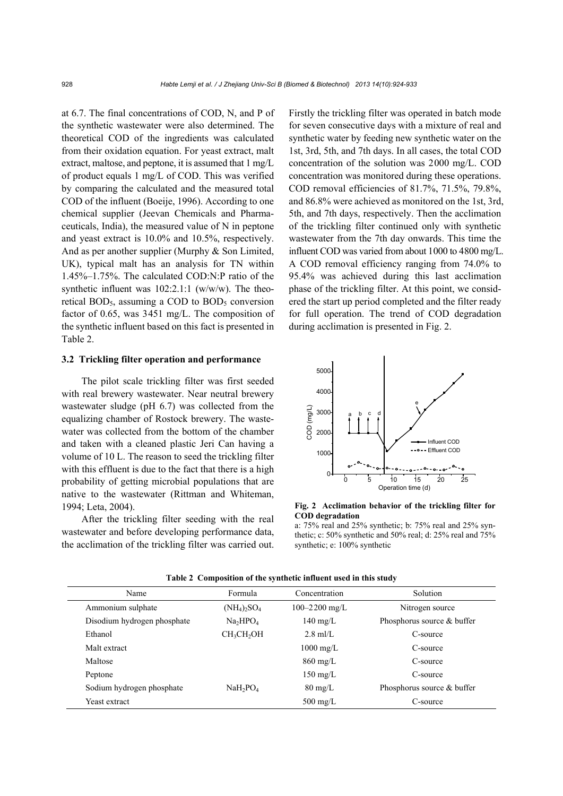at 6.7. The final concentrations of COD, N, and P of the synthetic wastewater were also determined. The theoretical COD of the ingredients was calculated from their oxidation equation. For yeast extract, malt extract, maltose, and peptone, it is assumed that 1 mg/L of product equals 1 mg/L of COD. This was verified by comparing the calculated and the measured total COD of the influent (Boeije, 1996). According to one chemical supplier (Jeevan Chemicals and Pharmaceuticals, India), the measured value of N in peptone and yeast extract is 10.0% and 10.5%, respectively. And as per another supplier (Murphy & Son Limited, UK), typical malt has an analysis for TN within 1.45%–1.75%. The calculated COD:N:P ratio of the synthetic influent was 102:2.1:1 (w/w/w). The theoretical  $BOD<sub>5</sub>$ , assuming a COD to  $BOD<sub>5</sub>$  conversion factor of 0.65, was 3451 mg/L. The composition of the synthetic influent based on this fact is presented in Table 2.

#### **3.2 Trickling filter operation and performance**

The pilot scale trickling filter was first seeded with real brewery wastewater. Near neutral brewery wastewater sludge (pH 6.7) was collected from the equalizing chamber of Rostock brewery. The wastewater was collected from the bottom of the chamber and taken with a cleaned plastic Jeri Can having a volume of 10 L. The reason to seed the trickling filter with this effluent is due to the fact that there is a high probability of getting microbial populations that are native to the wastewater (Rittman and Whiteman, 1994; Leta, 2004).

After the trickling filter seeding with the real wastewater and before developing performance data, the acclimation of the trickling filter was carried out. Firstly the trickling filter was operated in batch mode for seven consecutive days with a mixture of real and synthetic water by feeding new synthetic water on the 1st, 3rd, 5th, and 7th days. In all cases, the total COD concentration of the solution was 2000 mg/L. COD concentration was monitored during these operations. COD removal efficiencies of 81.7%, 71.5%, 79.8%, and 86.8% were achieved as monitored on the 1st, 3rd, 5th, and 7th days, respectively. Then the acclimation of the trickling filter continued only with synthetic wastewater from the 7th day onwards. This time the influent COD was varied from about 1000 to 4800 mg/L. A COD removal efficiency ranging from 74.0% to 95.4% was achieved during this last acclimation phase of the trickling filter. At this point, we considered the start up period completed and the filter ready for full operation. The trend of COD degradation during acclimation is presented in Fig. 2.



**Fig. 2 Acclimation behavior of the trickling filter for COD degradation** 

a: 75% real and 25% synthetic; b: 75% real and 25% synthetic; c: 50% synthetic and 50% real; d: 25% real and 75% synthetic; e: 100% synthetic

| Name                        | Formula                               | Concentration       | <b>Solution</b>            |
|-----------------------------|---------------------------------------|---------------------|----------------------------|
| Ammonium sulphate           | $(NH_4)$ <sub>2</sub> SO <sub>4</sub> | $100 - 2200$ mg/L   | Nitrogen source            |
| Disodium hydrogen phosphate | Na <sub>2</sub> HPO <sub>4</sub>      | $140 \text{ mg/L}$  | Phosphorus source & buffer |
| Ethanol                     | CH <sub>3</sub> CH <sub>2</sub> OH    | $2.8$ ml/L          | C-source                   |
| Malt extract                |                                       | $1000 \text{ mg/L}$ | C-source                   |
| Maltose                     |                                       | $860 \text{ mg/L}$  | C-source                   |
| Peptone                     |                                       | $150 \text{ mg/L}$  | C-source                   |
| Sodium hydrogen phosphate   | NaH <sub>2</sub> PO <sub>4</sub>      | $80 \text{ mg/L}$   | Phosphorus source & buffer |
| Yeast extract               |                                       | $500 \text{ mg/L}$  | C-source                   |

**Table 2 Composition of the synthetic influent used in this study**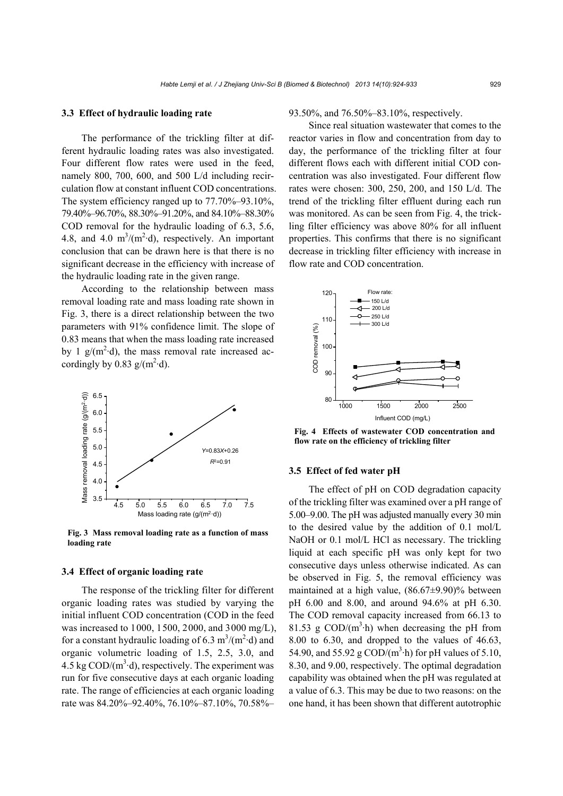# **3.3 Effect of hydraulic loading rate**

The performance of the trickling filter at different hydraulic loading rates was also investigated. Four different flow rates were used in the feed, namely 800, 700, 600, and 500 L/d including recirculation flow at constant influent COD concentrations. The system efficiency ranged up to 77.70%–93.10%, 79.40%–96.70%, 88.30%–91.20%, and 84.10%–88.30% COD removal for the hydraulic loading of 6.3, 5.6, 4.8, and 4.0  $m^3/(m^2 \cdot d)$ , respectively. An important conclusion that can be drawn here is that there is no significant decrease in the efficiency with increase of the hydraulic loading rate in the given range.

According to the relationship between mass removal loading rate and mass loading rate shown in Fig. 3, there is a direct relationship between the two parameters with 91% confidence limit. The slope of 0.83 means that when the mass loading rate increased by 1  $g/(m^2 \cdot d)$ , the mass removal rate increased accordingly by 0.83  $g/(m^2 \cdot d)$ .



**Fig. 3 Mass removal loading rate as a function of mass loading rate**

### **3.4 Effect of organic loading rate**

The response of the trickling filter for different organic loading rates was studied by varying the initial influent COD concentration (COD in the feed was increased to 1000, 1500, 2000, and 3000 mg/L), for a constant hydraulic loading of 6.3  $\text{m}^3/\text{(m}^2 \cdot \text{d})$  and organic volumetric loading of 1.5, 2.5, 3.0, and 4.5 kg  $\text{COD/(m}^3 \cdot d)$ , respectively. The experiment was run for five consecutive days at each organic loading rate. The range of efficiencies at each organic loading rate was 84.20%–92.40%, 76.10%–87.10%, 70.58%–

93.50%, and 76.50%–83.10%, respectively.

Since real situation wastewater that comes to the reactor varies in flow and concentration from day to day, the performance of the trickling filter at four different flows each with different initial COD concentration was also investigated. Four different flow rates were chosen: 300, 250, 200, and 150 L/d. The trend of the trickling filter effluent during each run was monitored. As can be seen from Fig. 4, the trickling filter efficiency was above 80% for all influent properties. This confirms that there is no significant decrease in trickling filter efficiency with increase in flow rate and COD concentration.



**Fig. 4 Effects of wastewater COD concentration and flow rate on the efficiency of trickling filter**

# **3.5 Effect of fed water pH**

The effect of pH on COD degradation capacity of the trickling filter was examined over a pH range of 5.00–9.00. The pH was adjusted manually every 30 min to the desired value by the addition of 0.1 mol/L NaOH or 0.1 mol/L HCl as necessary. The trickling liquid at each specific pH was only kept for two consecutive days unless otherwise indicated. As can be observed in Fig. 5, the removal efficiency was maintained at a high value, (86.67±9.90)% between pH 6.00 and 8.00, and around 94.6% at pH 6.30. The COD removal capacity increased from 66.13 to 81.53 g  $\text{COD/(m}^3 \cdot h)$  when decreasing the pH from 8.00 to 6.30, and dropped to the values of 46.63, 54.90, and 55.92 g COD/ $(m^3 \cdot h)$  for pH values of 5.10, 8.30, and 9.00, respectively. The optimal degradation capability was obtained when the pH was regulated at a value of 6.3. This may be due to two reasons: on the one hand, it has been shown that different autotrophic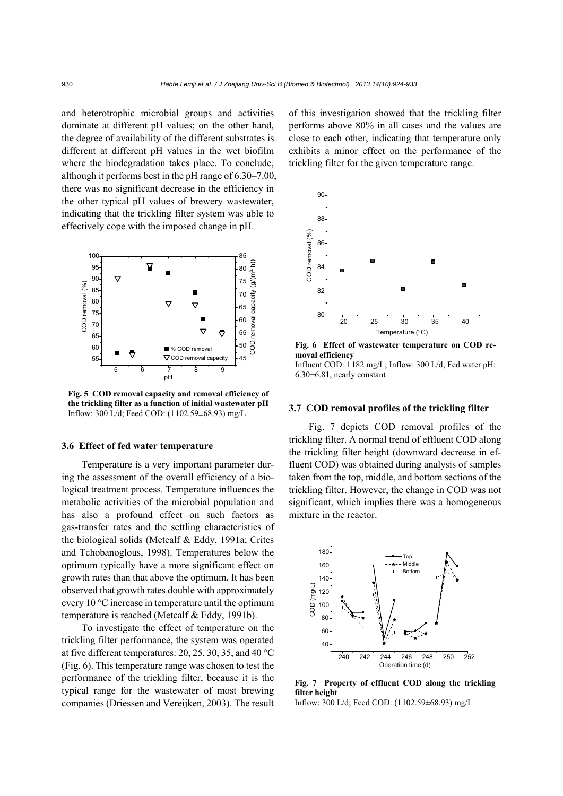and heterotrophic microbial groups and activities dominate at different pH values; on the other hand, the degree of availability of the different substrates is different at different pH values in the wet biofilm where the biodegradation takes place. To conclude, although it performs best in the pH range of 6.30–7.00, there was no significant decrease in the efficiency in the other typical pH values of brewery wastewater, indicating that the trickling filter system was able to effectively cope with the imposed change in pH.



**Fig. 5 COD removal capacity and removal efficiency of the trickling filter as a function of initial wastewater pH**  Inflow: 300 L/d; Feed COD: (1102.59±68.93) mg/L

#### **3.6 Effect of fed water temperature**

Temperature is a very important parameter during the assessment of the overall efficiency of a biological treatment process. Temperature influences the metabolic activities of the microbial population and has also a profound effect on such factors as gas-transfer rates and the settling characteristics of the biological solids (Metcalf & Eddy, 1991a; Crites and Tchobanoglous, 1998). Temperatures below the optimum typically have a more significant effect on growth rates than that above the optimum. It has been observed that growth rates double with approximately every 10 °C increase in temperature until the optimum temperature is reached (Metcalf & Eddy, 1991b).

To investigate the effect of temperature on the trickling filter performance, the system was operated at five different temperatures: 20, 25, 30, 35, and 40 °C (Fig. 6). This temperature range was chosen to test the performance of the trickling filter, because it is the typical range for the wastewater of most brewing companies (Driessen and Vereijken, 2003). The result of this investigation showed that the trickling filter performs above 80% in all cases and the values are close to each other, indicating that temperature only exhibits a minor effect on the performance of the trickling filter for the given temperature range.



**Fig. 6 Effect of wastewater temperature on COD removal efficiency**  Influent COD: 1182 mg/L; Inflow: 300 L/d; Fed water pH: 6.30−6.81, nearly constant

#### **3.7 COD removal profiles of the trickling filter**

Fig. 7 depicts COD removal profiles of the trickling filter. A normal trend of effluent COD along the trickling filter height (downward decrease in effluent COD) was obtained during analysis of samples taken from the top, middle, and bottom sections of the trickling filter. However, the change in COD was not significant, which implies there was a homogeneous mixture in the reactor.



**Fig. 7 Property of effluent COD along the trickling filter height** 

Inflow: 300 L/d; Feed COD: (1102.59±68.93) mg/L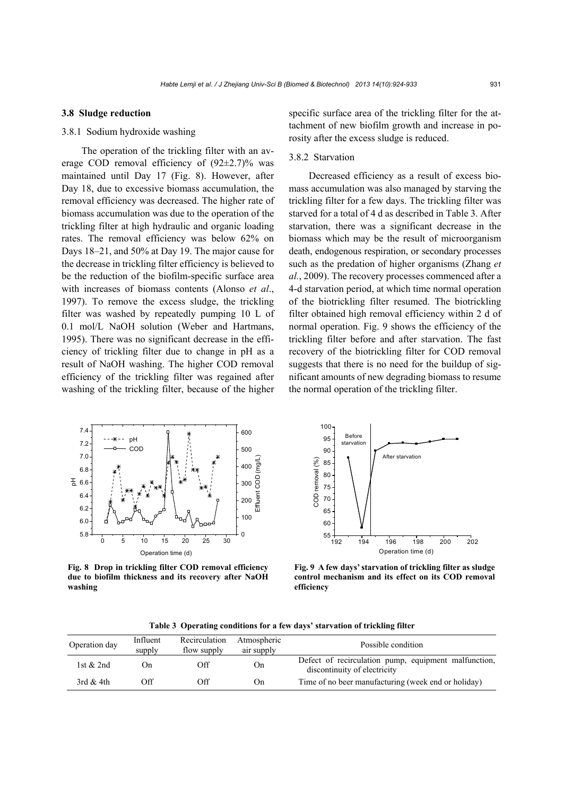### **3.8 Sludge reduction**

# 3.8.1 Sodium hydroxide washing

The operation of the trickling filter with an average COD removal efficiency of  $(92\pm2.7)\%$  was maintained until Day 17 (Fig. 8). However, after Day 18, due to excessive biomass accumulation, the removal efficiency was decreased. The higher rate of biomass accumulation was due to the operation of the trickling filter at high hydraulic and organic loading rates. The removal efficiency was below 62% on Days 18–21, and 50% at Day 19. The major cause for the decrease in trickling filter efficiency is believed to be the reduction of the biofilm-specific surface area with increases of biomass contents (Alonso *et al*., 1997). To remove the excess sludge, the trickling filter was washed by repeatedly pumping 10 L of 0.1 mol/L NaOH solution (Weber and Hartmans, 1995). There was no significant decrease in the efficiency of trickling filter due to change in pH as a result of NaOH washing. The higher COD removal efficiency of the trickling filter was regained after washing of the trickling filter, because of the higher specific surface area of the trickling filter for the attachment of new biofilm growth and increase in porosity after the excess sludge is reduced.

# 3.8.2 Starvation

Decreased efficiency as a result of excess biomass accumulation was also managed by starving the trickling filter for a few days. The trickling filter was starved for a total of 4 d as described in Table 3. After starvation, there was a significant decrease in the biomass which may be the result of microorganism death, endogenous respiration, or secondary processes such as the predation of higher organisms (Zhang *et al.*, 2009). The recovery processes commenced after a 4-d starvation period, at which time normal operation of the biotrickling filter resumed. The biotrickling filter obtained high removal efficiency within 2 d of normal operation. Fig. 9 shows the efficiency of the trickling filter before and after starvation. The fast recovery of the biotrickling filter for COD removal suggests that there is no need for the buildup of significant amounts of new degrading biomass to resume the normal operation of the trickling filter.



**Fig. 8 Drop in trickling filter COD removal efficiency due to biofilm thickness and its recovery after NaOH washing**



**Fig. 9 A few days' starvation of trickling filter as sludge control mechanism and its effect on its COD removal efficiency**

|  |  |  | Table 3 Operating conditions for a few days' starvation of trickling filter |  |
|--|--|--|-----------------------------------------------------------------------------|--|
|  |  |  |                                                                             |  |

| Operation day | Influent<br>supply | Recirculation<br>flow supply | Atmospheric<br>air supply | Possible condition                                                                   |
|---------------|--------------------|------------------------------|---------------------------|--------------------------------------------------------------------------------------|
| 1st $& 2nd$   | On.                | Off                          | On                        | Defect of recirculation pump, equipment malfunction,<br>discontinuity of electricity |
| 3rd $&$ 4th   | Off                | Off                          | On)                       | Time of no beer manufacturing (week end or holiday)                                  |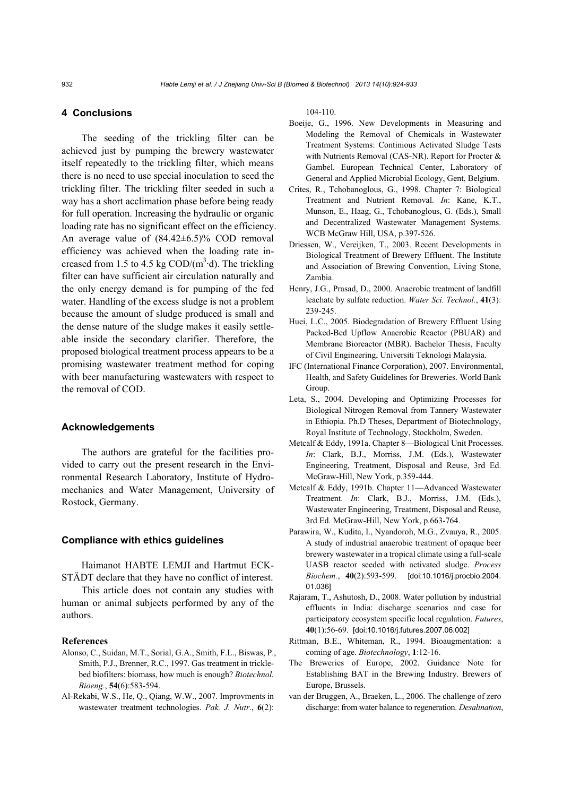# **4 Conclusions**

The seeding of the trickling filter can be achieved just by pumping the brewery wastewater itself repeatedly to the trickling filter, which means there is no need to use special inoculation to seed the trickling filter. The trickling filter seeded in such a way has a short acclimation phase before being ready for full operation. Increasing the hydraulic or organic loading rate has no significant effect on the efficiency. An average value of  $(84.42\pm6.5)\%$  COD removal efficiency was achieved when the loading rate increased from 1.5 to 4.5 kg  $\text{COD/(m}^3 \cdot d)$ . The trickling filter can have sufficient air circulation naturally and the only energy demand is for pumping of the fed water. Handling of the excess sludge is not a problem because the amount of sludge produced is small and the dense nature of the sludge makes it easily settleable inside the secondary clarifier. Therefore, the proposed biological treatment process appears to be a promising wastewater treatment method for coping with beer manufacturing wastewaters with respect to the removal of COD.

#### **Acknowledgements**

The authors are grateful for the facilities provided to carry out the present research in the Environmental Research Laboratory, Institute of Hydromechanics and Water Management, University of Rostock, Germany.

#### **Compliance with ethics guidelines**

Haimanot HABTE LEMJI and Hartmut ECK-STÄDT declare that they have no conflict of interest.

This article does not contain any studies with human or animal subjects performed by any of the authors.

#### **References**

- Alonso, C., Suidan, M.T., Sorial, G.A., Smith, F.L., Biswas, P., Smith, P.J., Brenner, R.C., 1997. Gas treatment in tricklebed biofilters: biomass, how much is enough? *Biotechnol. Bioeng.*, **54**(6):583-594.
- Al-Rekabi, W.S., He, Q., Qiang, W.W., 2007. Improvments in wastewater treatment technologies. *Pak. J. Nutr*., **6**(2):

104-110.

- Boeije, G., 1996. New Developments in Measuring and Modeling the Removal of Chemicals in Wastewater Treatment Systems: Continious Activated Sludge Tests with Nutrients Removal (CAS-NR). Report for Procter & Gambel. European Technical Center, Laboratory of General and Applied Microbial Ecology, Gent, Belgium.
- Crites, R., Tchobanoglous, G., 1998. Chapter 7: Biological Treatment and Nutrient Removal. *In*: Kane, K.T., Munson, E., Haag, G., Tchobanoglous, G. (Eds.), Small and Decentralized Wastewater Management Systems. WCB McGraw Hill, USA, p.397-526.
- Driessen, W., Vereijken, T., 2003. Recent Developments in Biological Treatment of Brewery Effluent. The Institute and Association of Brewing Convention, Living Stone, Zambia.
- Henry, J.G., Prasad, D., 2000. Anaerobic treatment of landfill leachate by sulfate reduction. *Water Sci. Technol.*, **41**(3): 239-245.
- Huei, L.C., 2005. Biodegradation of Brewery Effluent Using Packed-Bed Upflow Anaerobic Reactor (PBUAR) and Membrane Bioreactor (MBR). Bachelor Thesis, Faculty of Civil Engineering, Universiti Teknologi Malaysia.
- IFC (International Finance Corporation), 2007. Environmental, Health, and Safety Guidelines for Breweries. World Bank Group.
- Leta, S., 2004. Developing and Optimizing Processes for Biological Nitrogen Removal from Tannery Wastewater in Ethiopia. Ph.D Theses, Department of Biotechnology, Royal Institute of Technology, Stockholm, Sweden.
- Metcalf & Eddy, 1991a. Chapter 8—Biological Unit Processes. *In*: Clark, B.J., Morriss, J.M. (Eds.), Wastewater Engineering, Treatment, Disposal and Reuse, 3rd Ed. McGraw-Hill, New York, p.359-444.
- Metcalf & Eddy, 1991b. Chapter 11—Advanced Wastewater Treatment. *In*: Clark, B.J., Morriss, J.M. (Eds.), Wastewater Engineering, Treatment, Disposal and Reuse, 3rd Ed. McGraw-Hill, New York, p.663-764.
- Parawira, W., Kudita, I., Nyandoroh, M.G., Zvauya, R., 2005. A study of industrial anaerobic treatment of opaque beer brewery wastewater in a tropical climate using a full-scale UASB reactor seeded with activated sludge. *Process Biochem.*, **40**(2):593-599. [doi:10.1016/j.procbio.2004. 01.036]
- Rajaram, T., Ashutosh, D., 2008. Water pollution by industrial effluents in India: discharge scenarios and case for participatory ecosystem specific local regulation. *Futures*, **40**(1):56-69. [doi:10.1016/j.futures.2007.06.002]
- Rittman, B.E., Whiteman, R., 1994. Bioaugmentation: a coming of age. *Biotechnology*, **1**:12-16.
- The Breweries of Europe, 2002. Guidance Note for Establishing BAT in the Brewing Industry. Brewers of Europe, Brussels.
- van der Bruggen, A., Braeken, L., 2006. The challenge of zero discharge: from water balance to regeneration. *Desalination*,